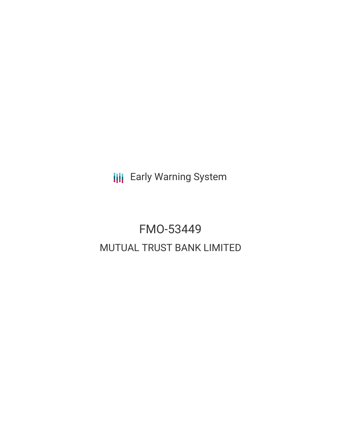**III** Early Warning System

# FMO-53449 MUTUAL TRUST BANK LIMITED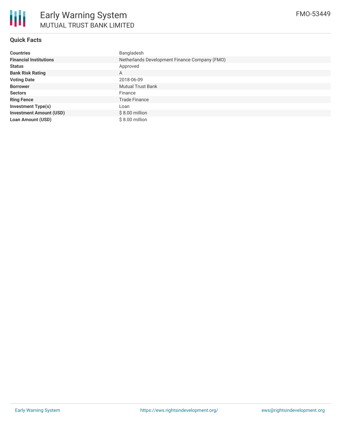

#### **Quick Facts**

| <b>Countries</b>               | Bangladesh                                    |  |  |  |
|--------------------------------|-----------------------------------------------|--|--|--|
| <b>Financial Institutions</b>  | Netherlands Development Finance Company (FMO) |  |  |  |
| <b>Status</b>                  | Approved                                      |  |  |  |
| <b>Bank Risk Rating</b>        | A                                             |  |  |  |
| <b>Voting Date</b>             | 2018-06-09                                    |  |  |  |
| <b>Borrower</b>                | <b>Mutual Trust Bank</b>                      |  |  |  |
| <b>Sectors</b>                 | Finance                                       |  |  |  |
| <b>Ring Fence</b>              | <b>Trade Finance</b>                          |  |  |  |
| <b>Investment Type(s)</b>      | Loan                                          |  |  |  |
| <b>Investment Amount (USD)</b> | $$8.00$ million                               |  |  |  |
| <b>Loan Amount (USD)</b>       | \$8.00 million                                |  |  |  |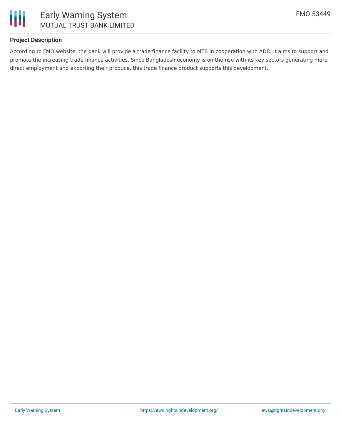

#### **Project Description**

According to FMO website, the bank will provide a trade finance facility to MTB in cooperation with ADB. It aims to support and promote the increasing trade finance activities. Since Bangladesh economy is on the rise with its key sectors generating more direct employment and exporting their produce, this trade finance product supports this development.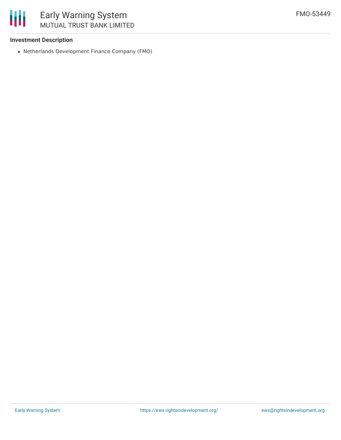

#### **Investment Description**

Netherlands Development Finance Company (FMO)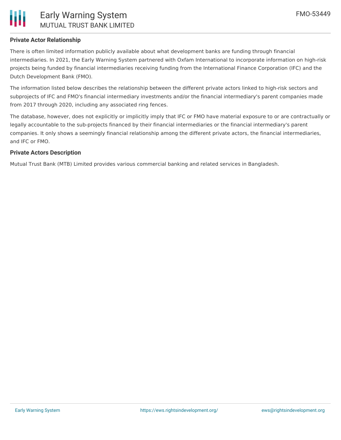

#### **Private Actor Relationship**

There is often limited information publicly available about what development banks are funding through financial intermediaries. In 2021, the Early Warning System partnered with Oxfam International to incorporate information on high-risk projects being funded by financial intermediaries receiving funding from the International Finance Corporation (IFC) and the Dutch Development Bank (FMO).

The information listed below describes the relationship between the different private actors linked to high-risk sectors and subprojects of IFC and FMO's financial intermediary investments and/or the financial intermediary's parent companies made from 2017 through 2020, including any associated ring fences.

The database, however, does not explicitly or implicitly imply that IFC or FMO have material exposure to or are contractually or legally accountable to the sub-projects financed by their financial intermediaries or the financial intermediary's parent companies. It only shows a seemingly financial relationship among the different private actors, the financial intermediaries, and IFC or FMO.

#### **Private Actors Description**

Mutual Trust Bank (MTB) Limited provides various commercial banking and related services in Bangladesh.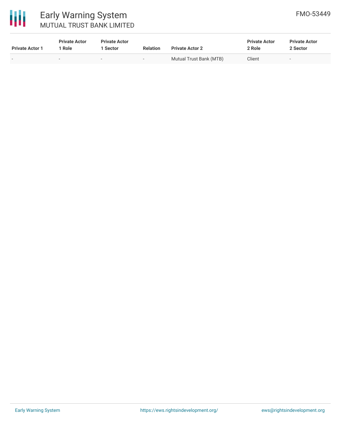

# 冊

# Early Warning System MUTUAL TRUST BANK LIMITED

| <b>Private Actor 1</b> | <b>Private Actor</b><br>Role | <b>Private Actor</b><br>Sector | <b>Relation</b>          | <b>Private Actor 2</b>  | <b>Private Actor</b><br>2 Role | <b>Private Actor</b><br>2 Sector |
|------------------------|------------------------------|--------------------------------|--------------------------|-------------------------|--------------------------------|----------------------------------|
|                        |                              | $\overline{\phantom{0}}$       | $\overline{\phantom{0}}$ | Mutual Trust Bank (MTB) | Client                         | $\overline{\phantom{0}}$         |